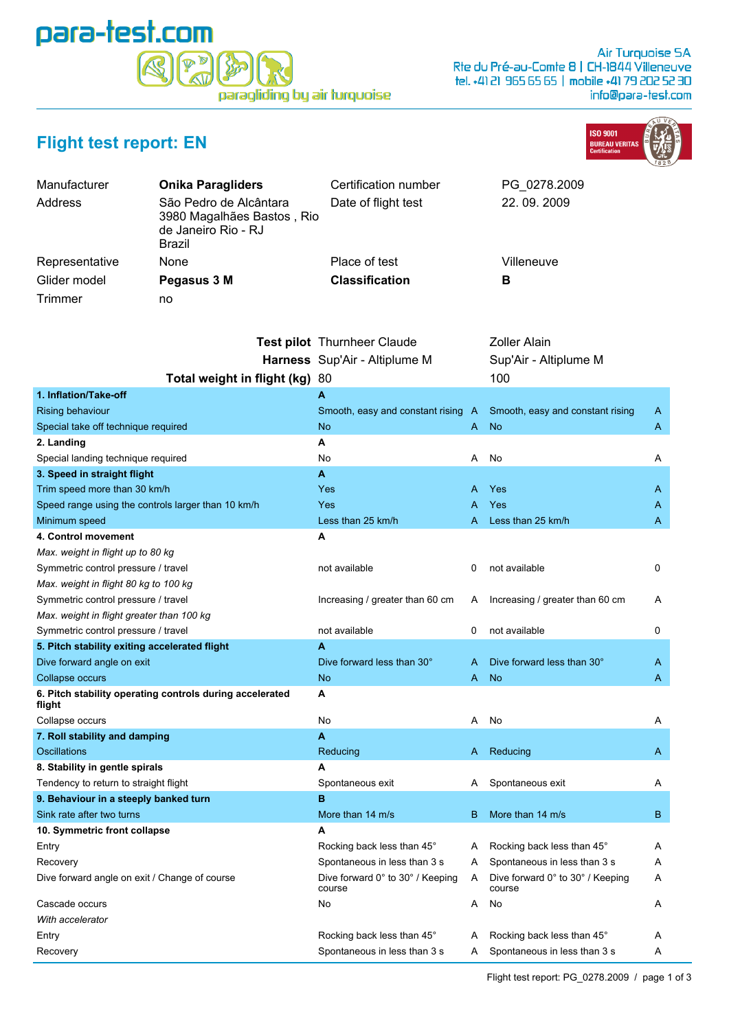

## **Flight test report: EN**



| Manufacturer<br>Address | <b>Onika Paragliders</b><br>São Pedro de Alcântara<br>3980 Magalhães Bastos, Rio<br>de Janeiro Rio - RJ<br>Brazil | Certification number<br>Date of flight test | PG 0278.2009<br>22.09.2009 |
|-------------------------|-------------------------------------------------------------------------------------------------------------------|---------------------------------------------|----------------------------|
| Representative          | <b>None</b>                                                                                                       | Place of test                               | Villeneuve                 |
| Glider model            | Pegasus 3 M                                                                                                       | <b>Classification</b>                       | В                          |
| Trimmer                 | no                                                                                                                |                                             |                            |

|                                                                    | <b>Test pilot</b> Thurnheer Claude<br>Harness Sup'Air - Altiplume M |   | Zoller Alain<br>Sup'Air - Altiplume M      |   |
|--------------------------------------------------------------------|---------------------------------------------------------------------|---|--------------------------------------------|---|
| Total weight in flight (kg) 80                                     |                                                                     |   | 100                                        |   |
| 1. Inflation/Take-off                                              | A                                                                   |   |                                            |   |
| Rising behaviour                                                   | Smooth, easy and constant rising A                                  |   | Smooth, easy and constant rising           | A |
| Special take off technique required                                | No                                                                  | A | <b>No</b>                                  | A |
| 2. Landing                                                         | A                                                                   |   |                                            |   |
| Special landing technique required                                 | No                                                                  | A | No                                         | A |
| 3. Speed in straight flight                                        | A                                                                   |   |                                            |   |
| Trim speed more than 30 km/h                                       | Yes                                                                 | A | Yes                                        | A |
| Speed range using the controls larger than 10 km/h                 | Yes                                                                 | A | Yes                                        | A |
| Minimum speed                                                      | Less than 25 km/h                                                   | A | Less than 25 km/h                          | A |
| 4. Control movement                                                | A                                                                   |   |                                            |   |
| Max. weight in flight up to 80 kg                                  |                                                                     |   |                                            |   |
| Symmetric control pressure / travel                                | not available                                                       | 0 | not available                              | 0 |
| Max. weight in flight 80 kg to 100 kg                              |                                                                     |   |                                            |   |
| Symmetric control pressure / travel                                | Increasing / greater than 60 cm                                     | Α | Increasing / greater than 60 cm            | Α |
| Max. weight in flight greater than 100 kg                          |                                                                     |   |                                            |   |
| Symmetric control pressure / travel                                | not available                                                       | 0 | not available                              | 0 |
| 5. Pitch stability exiting accelerated flight                      | A                                                                   |   |                                            |   |
| Dive forward angle on exit                                         | Dive forward less than 30°                                          | A | Dive forward less than 30°                 | A |
| Collapse occurs                                                    | <b>No</b>                                                           | A | <b>No</b>                                  | A |
| 6. Pitch stability operating controls during accelerated<br>flight | A                                                                   |   |                                            |   |
| Collapse occurs                                                    | No                                                                  | A | No                                         | Α |
| 7. Roll stability and damping                                      | A                                                                   |   |                                            |   |
| Oscillations                                                       | Reducing                                                            | A | Reducing                                   | A |
| 8. Stability in gentle spirals                                     | A                                                                   |   |                                            |   |
| Tendency to return to straight flight                              | Spontaneous exit                                                    | A | Spontaneous exit                           | Α |
| 9. Behaviour in a steeply banked turn                              | в                                                                   |   |                                            |   |
| Sink rate after two turns                                          | More than 14 m/s                                                    | B | More than 14 m/s                           | B |
| 10. Symmetric front collapse                                       | A                                                                   |   |                                            |   |
| Entry                                                              | Rocking back less than 45°                                          | A | Rocking back less than 45°                 | A |
| Recovery                                                           | Spontaneous in less than 3 s                                        | A | Spontaneous in less than 3 s               | Α |
| Dive forward angle on exit / Change of course                      | Dive forward 0° to 30° / Keeping<br>course                          | A | Dive forward 0° to 30° / Keeping<br>course | A |
| Cascade occurs                                                     | No                                                                  | A | No                                         | A |
| With accelerator                                                   |                                                                     |   |                                            |   |
| Entry                                                              | Rocking back less than 45°                                          | A | Rocking back less than 45°                 | A |
| Recovery                                                           | Spontaneous in less than 3 s                                        | A | Spontaneous in less than 3 s               | Α |
|                                                                    |                                                                     |   |                                            |   |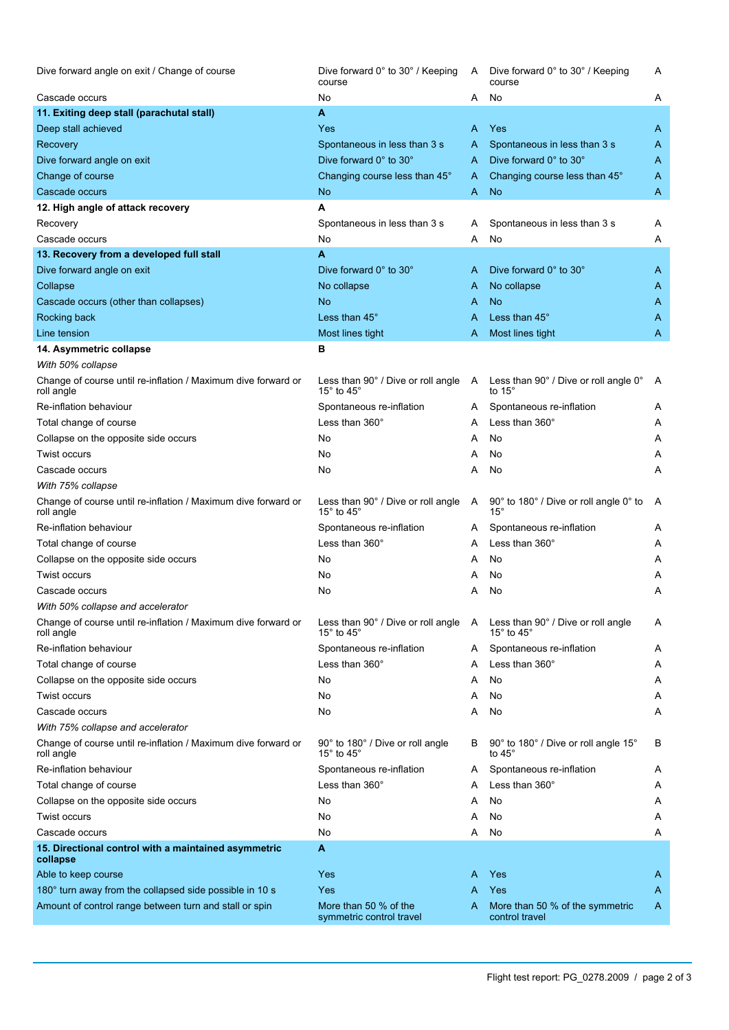| Dive forward angle on exit / Change of course                               | Dive forward 0° to 30° / Keeping<br>course                           | A | Dive forward 0° to 30° / Keeping<br>course                           | A |
|-----------------------------------------------------------------------------|----------------------------------------------------------------------|---|----------------------------------------------------------------------|---|
| Cascade occurs                                                              | No                                                                   | A | No                                                                   | A |
| 11. Exiting deep stall (parachutal stall)                                   | A                                                                    |   |                                                                      |   |
| Deep stall achieved                                                         | Yes                                                                  | A | Yes                                                                  | A |
| Recovery                                                                    | Spontaneous in less than 3 s                                         | A | Spontaneous in less than 3 s                                         | A |
| Dive forward angle on exit                                                  | Dive forward 0° to 30°                                               | A | Dive forward 0° to 30°                                               | A |
| Change of course                                                            | Changing course less than 45°                                        | A | Changing course less than 45°                                        | A |
| Cascade occurs                                                              | <b>No</b>                                                            | A | <b>No</b>                                                            | Α |
| 12. High angle of attack recovery                                           | A                                                                    |   |                                                                      |   |
| Recovery                                                                    | Spontaneous in less than 3 s                                         | A | Spontaneous in less than 3 s                                         | A |
| Cascade occurs                                                              | No                                                                   | A | No                                                                   | Α |
| 13. Recovery from a developed full stall                                    | A                                                                    |   |                                                                      |   |
| Dive forward angle on exit                                                  | Dive forward 0° to 30°                                               | A | Dive forward 0° to 30°                                               | A |
| Collapse                                                                    | No collapse                                                          | A | No collapse                                                          | A |
| Cascade occurs (other than collapses)                                       | N <sub>o</sub>                                                       | A | No                                                                   | A |
| Rocking back                                                                | Less than 45°                                                        | A | Less than 45°                                                        | A |
| Line tension                                                                | Most lines tight                                                     | A | Most lines tight                                                     | A |
| 14. Asymmetric collapse                                                     | в                                                                    |   |                                                                      |   |
| With 50% collapse                                                           |                                                                      |   |                                                                      |   |
| Change of course until re-inflation / Maximum dive forward or<br>roll angle | Less than 90° / Dive or roll angle A<br>15 $\degree$ to 45 $\degree$ |   | Less than 90° / Dive or roll angle 0°<br>to 15°                      | A |
| Re-inflation behaviour                                                      | Spontaneous re-inflation                                             | A | Spontaneous re-inflation                                             | A |
| Total change of course                                                      | Less than 360°                                                       | A | Less than 360°                                                       | A |
| Collapse on the opposite side occurs                                        | No                                                                   | A | No                                                                   | Α |
| <b>Twist occurs</b>                                                         | No                                                                   | Α | No                                                                   | A |
| Cascade occurs                                                              | No                                                                   | Α | No                                                                   | A |
| With 75% collapse                                                           |                                                                      |   |                                                                      |   |
| Change of course until re-inflation / Maximum dive forward or<br>roll angle | Less than 90° / Dive or roll angle<br>15 $\degree$ to 45 $\degree$   | A | 90° to 180° / Dive or roll angle 0° to<br>$15^{\circ}$               | A |
| Re-inflation behaviour                                                      | Spontaneous re-inflation                                             | A | Spontaneous re-inflation                                             | A |
| Total change of course                                                      | Less than 360°                                                       | A | Less than 360°                                                       | Α |
| Collapse on the opposite side occurs                                        | No                                                                   | A | No                                                                   | A |
| Twist occurs                                                                | No                                                                   | A | No                                                                   | Α |
| Cascade occurs                                                              | No                                                                   | A | No                                                                   | A |
| With 50% collapse and accelerator                                           |                                                                      |   |                                                                      |   |
| Change of course until re-inflation / Maximum dive forward or<br>roll angle | Less than 90° / Dive or roll angle A<br>15 $\degree$ to 45 $\degree$ |   | Less than 90° / Dive or roll angle<br>15 $^{\circ}$ to 45 $^{\circ}$ | Α |
| Re-inflation behaviour                                                      | Spontaneous re-inflation                                             | A | Spontaneous re-inflation                                             | A |
| Total change of course                                                      | Less than 360°                                                       | A | Less than 360°                                                       | Α |
| Collapse on the opposite side occurs                                        | No                                                                   | A | No                                                                   | Α |
| <b>Twist occurs</b>                                                         | No                                                                   | A | No                                                                   | A |
| Cascade occurs                                                              | No                                                                   | Α | No                                                                   | Α |
| With 75% collapse and accelerator                                           |                                                                      |   |                                                                      |   |
| Change of course until re-inflation / Maximum dive forward or<br>roll angle | 90° to 180° / Dive or roll angle<br>15 $^{\circ}$ to 45 $^{\circ}$   | B | 90° to 180° / Dive or roll angle 15°<br>to 45°                       | В |
| Re-inflation behaviour                                                      | Spontaneous re-inflation                                             | A | Spontaneous re-inflation                                             | A |
| Total change of course                                                      | Less than 360°                                                       | A | Less than $360^\circ$                                                | Α |
| Collapse on the opposite side occurs                                        | No                                                                   | Α | No                                                                   | A |
| Twist occurs                                                                | No                                                                   | A | No                                                                   | A |
| Cascade occurs                                                              | No                                                                   | A | No                                                                   | Α |
| 15. Directional control with a maintained asymmetric<br>collapse            | A                                                                    |   |                                                                      |   |
| Able to keep course                                                         | Yes                                                                  | A | Yes                                                                  | A |
| 180° turn away from the collapsed side possible in 10 s                     | Yes                                                                  | A | Yes                                                                  | A |
| Amount of control range between turn and stall or spin                      | More than 50 % of the<br>symmetric control travel                    | A | More than 50 % of the symmetric<br>control travel                    | A |